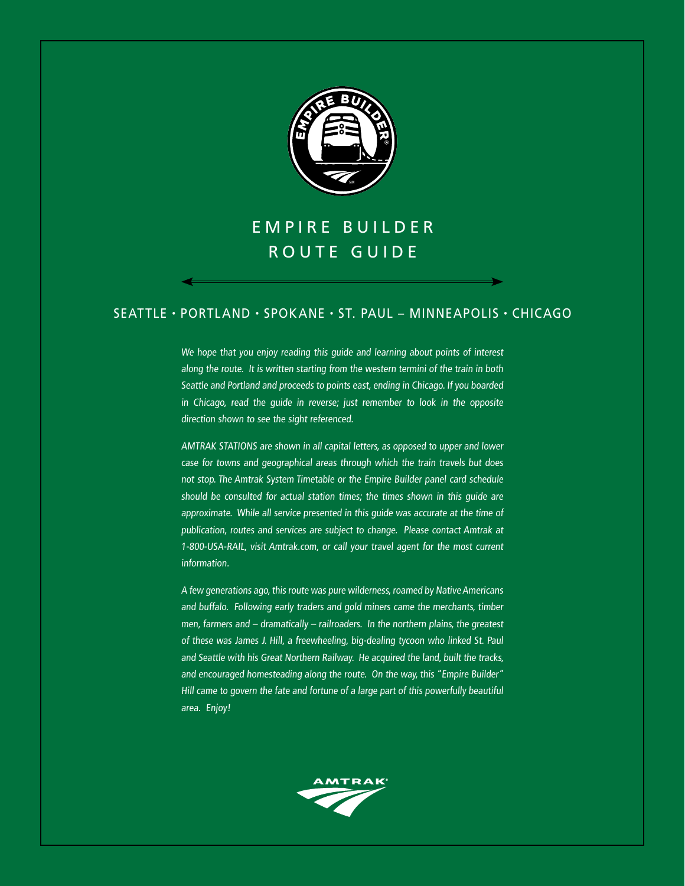

# E M P I R E B U I L D E R ROUTE GUIDE

## seattle • portland • spokane • St. Paul – Minneapolis • chicago

We hope that you enjoy reading this guide and learning about points of interest along the route. It is written starting from the western termini of the train in both Seattle and Portland and proceeds to points east, ending in Chicago. If you boarded in Chicago, read the guide in reverse; just remember to look in the opposite direction shown to see the sight referenced.

AMTRAK STATIONS are shown in all capital letters, as opposed to upper and lower case for towns and geographical areas through which the train travels but does not stop. The Amtrak System Timetable or the Empire Builder panel card schedule should be consulted for actual station times; the times shown in this guide are approximate. While all service presented in this guide was accurate at the time of publication, routes and services are subject to change. Please contact Amtrak at 1-800-USA-RAIL, visit Amtrak.com, or call your travel agent for the most current information.

A few generations ago, this route was pure wilderness, roamed by Native Americans and buffalo. Following early traders and gold miners came the merchants, timber men, farmers and – dramatically – railroaders. In the northern plains, the greatest of these was James J. Hill, a freewheeling, big-dealing tycoon who linked St. Paul and Seattle with his Great Northern Railway. He acquired the land, built the tracks, and encouraged homesteading along the route. On the way, this "Empire Builder" Hill came to govern the fate and fortune of a large part of this powerfully beautiful area. Enjoy!

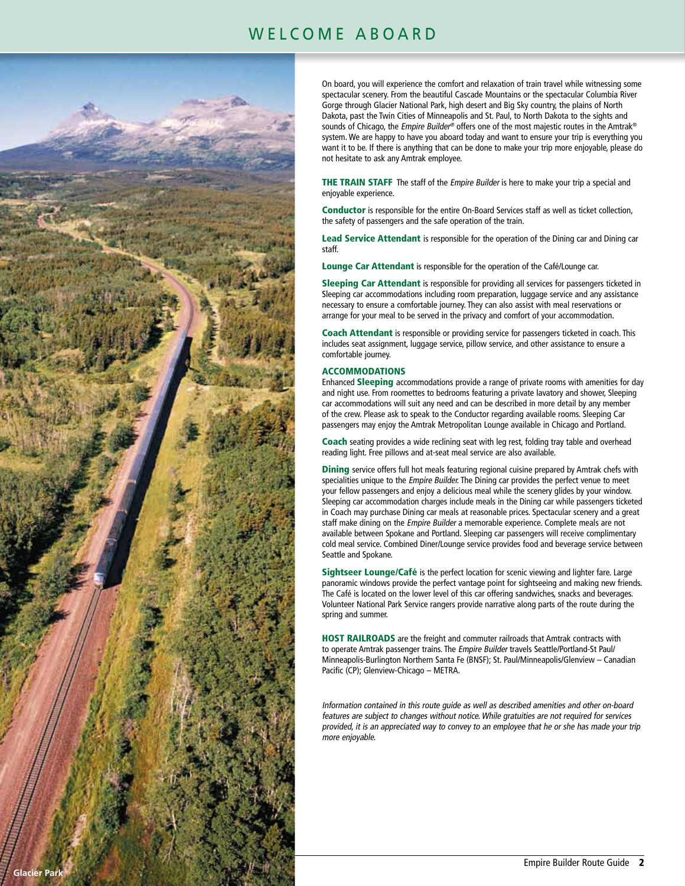## WELCOME ABOARD



On board, you will experience the comfort and relaxation of train travel while witnessing some spectacular scenery. From the beautiful Cascade Mountains or the spectacular Columbia River Gorge through Glacier National Park, high desert and Big Sky country, the plains of North Dakota, past the Twin Cities of Minneapolis and St. Paul, to North Dakota to the sights and sounds of Chicago, the Empire Builder® offers one of the most majestic routes in the Amtrak® system. We are happy to have you aboard today and want to ensure your trip is everything you want it to be. If there is anything that can be done to make your trip more enjoyable, please do not hesitate to ask any Amtrak employee.

THE TRAIN STAFF The staff of the Empire Builder is here to make your trip a special and enjoyable experience.

Conductor is responsible for the entire On-Board Services staff as well as ticket collection, the safety of passengers and the safe operation of the train.

Lead Service Attendant is responsible for the operation of the Dining car and Dining car staff.

Lounge Car Attendant is responsible for the operation of the Café/Lounge car.

Sleeping Car Attendant is responsible for providing all services for passengers ticketed in Sleeping car accommodations including room preparation, luggage service and any assistance necessary to ensure a comfortable journey. They can also assist with meal reservations or arrange for your meal to be served in the privacy and comfort of your accommodation.

Coach Attendant is responsible or providing service for passengers ticketed in coach. This includes seat assignment, luggage service, pillow service, and other assistance to ensure a comfortable journey.

#### ACCOMMODATIONS

Enhanced Sleeping accommodations provide a range of private rooms with amenities for day and night use. From roomettes to bedrooms featuring a private lavatory and shower, Sleeping car accommodations will suit any need and can be described in more detail by any member of the crew. Please ask to speak to the Conductor regarding available rooms. Sleeping Car passengers may enjoy the Amtrak Metropolitan Lounge available in Chicago and Portland.

Coach seating provides a wide reclining seat with leg rest, folding tray table and overhead reading light. Free pillows and at-seat meal service are also available.

**Dining** service offers full hot meals featuring regional cuisine prepared by Amtrak chefs with specialities unique to the Empire Builder. The Dining car provides the perfect venue to meet your fellow passengers and enjoy a delicious meal while the scenery glides by your window. Sleeping car accommodation charges include meals in the Dining car while passengers ticketed in Coach may purchase Dining car meals at reasonable prices. Spectacular scenery and a great staff make dining on the Empire Builder a memorable experience. Complete meals are not available between Spokane and Portland. Sleeping car passengers will receive complimentary cold meal service. Combined Diner/Lounge service provides food and beverage service between Seattle and Spokane.

Sightseer Lounge/Café is the perfect location for scenic viewing and lighter fare. Large panoramic windows provide the perfect vantage point for sightseeing and making new friends. The Café is located on the lower level of this car offering sandwiches, snacks and beverages. Volunteer National Park Service rangers provide narrative along parts of the route during the spring and summer.

HOST RAILROADS are the freight and commuter railroads that Amtrak contracts with to operate Amtrak passenger trains. The Empire Builder travels Seattle/Portland-St Paul/ Minneapolis-Burlington Northern Santa Fe (BNSF); St. Paul/Minneapolis/Glenview – Canadian Pacific (CP); Glenview-Chicago – METRA.

Information contained in this route guide as well as described amenities and other on-board features are subject to changes without notice. While gratuities are not required for services provided, it is an appreciated way to convey to an employee that he or she has made your trip more enjoyable.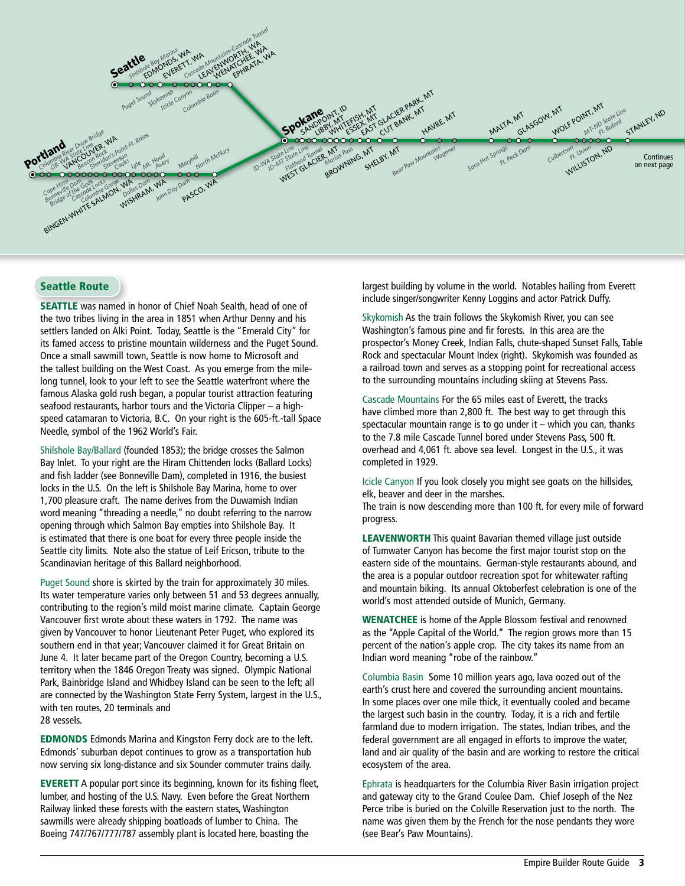

## Seattle Route

SEATTLE was named in honor of Chief Noah Sealth, head of one of the two tribes living in the area in 1851 when Arthur Denny and his settlers landed on Alki Point. Today, Seattle is the "Emerald City" for its famed access to pristine mountain wilderness and the Puget Sound. Once a small sawmill town, Seattle is now home to Microsoft and the tallest building on the West Coast. As you emerge from the milelong tunnel, look to your left to see the Seattle waterfront where the famous Alaska gold rush began, a popular tourist attraction featuring seafood restaurants, harbor tours and the Victoria Clipper – a highspeed catamaran to Victoria, B.C. On your right is the 605-ft.-tall Space Needle, symbol of the 1962 World's Fair.

Shilshole Bay/Ballard (founded 1853); the bridge crosses the Salmon Bay Inlet. To your right are the Hiram Chittenden locks (Ballard Locks) and fish ladder (see Bonneville Dam), completed in 1916, the busiest locks in the U.S. On the left is Shilshole Bay Marina, home to over 1,700 pleasure craft. The name derives from the Duwamish Indian word meaning "threading a needle," no doubt referring to the narrow opening through which Salmon Bay empties into Shilshole Bay. It is estimated that there is one boat for every three people inside the Seattle city limits. Note also the statue of Leif Ericson, tribute to the Scandinavian heritage of this Ballard neighborhood.

Puget Sound shore is skirted by the train for approximately 30 miles. Its water temperature varies only between 51 and 53 degrees annually, contributing to the region's mild moist marine climate. Captain George Vancouver first wrote about these waters in 1792. The name was given by Vancouver to honor Lieutenant Peter Puget, who explored its southern end in that year; Vancouver claimed it for Great Britain on June 4. It later became part of the Oregon Country, becoming a U.S. territory when the 1846 Oregon Treaty was signed. Olympic National Park, Bainbridge Island and Whidbey Island can be seen to the left; all are connected by the Washington State Ferry System, largest in the U.S., with ten routes, 20 terminals and 28 vessels.

EDMONDS Edmonds Marina and Kingston Ferry dock are to the left. Edmonds' suburban depot continues to grow as a transportation hub now serving six long-distance and six Sounder commuter trains daily.

EVERETT A popular port since its beginning, known for its fishing fleet, lumber, and hosting of the U.S. Navy. Even before the Great Northern Railway linked these forests with the eastern states, Washington sawmills were already shipping boatloads of lumber to China. The Boeing 747/767/777/787 assembly plant is located here, boasting the

largest building by volume in the world. Notables hailing from Everett include singer/songwriter Kenny Loggins and actor Patrick Duffy.

Skykomish As the train follows the Skykomish River, you can see Washington's famous pine and fir forests. In this area are the prospector's Money Creek, Indian Falls, chute-shaped Sunset Falls, Table Rock and spectacular Mount Index (right). Skykomish was founded as a railroad town and serves as a stopping point for recreational access to the surrounding mountains including skiing at Stevens Pass.

Cascade Mountains For the 65 miles east of Everett, the tracks have climbed more than 2,800 ft. The best way to get through this spectacular mountain range is to go under it – which you can, thanks to the 7.8 mile Cascade Tunnel bored under Stevens Pass, 500 ft. overhead and 4,061 ft. above sea level. Longest in the U.S., it was completed in 1929.

Icicle Canyon If you look closely you might see goats on the hillsides, elk, beaver and deer in the marshes.

The train is now descending more than 100 ft. for every mile of forward progress.

LEAVENWORTH This quaint Bavarian themed village just outside of Tumwater Canyon has become the first major tourist stop on the eastern side of the mountains. German-style restaurants abound, and the area is a popular outdoor recreation spot for whitewater rafting and mountain biking. Its annual Oktoberfest celebration is one of the world's most attended outside of Munich, Germany.

WENATCHEE is home of the Apple Blossom festival and renowned as the "Apple Capital of the World." The region grows more than 15 percent of the nation's apple crop. The city takes its name from an Indian word meaning "robe of the rainbow."

Columbia Basin Some 10 million years ago, lava oozed out of the earth's crust here and covered the surrounding ancient mountains. In some places over one mile thick, it eventually cooled and became the largest such basin in the country. Today, it is a rich and fertile farmland due to modern irrigation. The states, Indian tribes, and the federal government are all engaged in efforts to improve the water, land and air quality of the basin and are working to restore the critical ecosystem of the area.

Ephrata is headquarters for the Columbia River Basin irrigation project and gateway city to the Grand Coulee Dam. Chief Joseph of the Nez Perce tribe is buried on the Colville Reservation just to the north. The name was given them by the French for the nose pendants they wore (see Bear's Paw Mountains).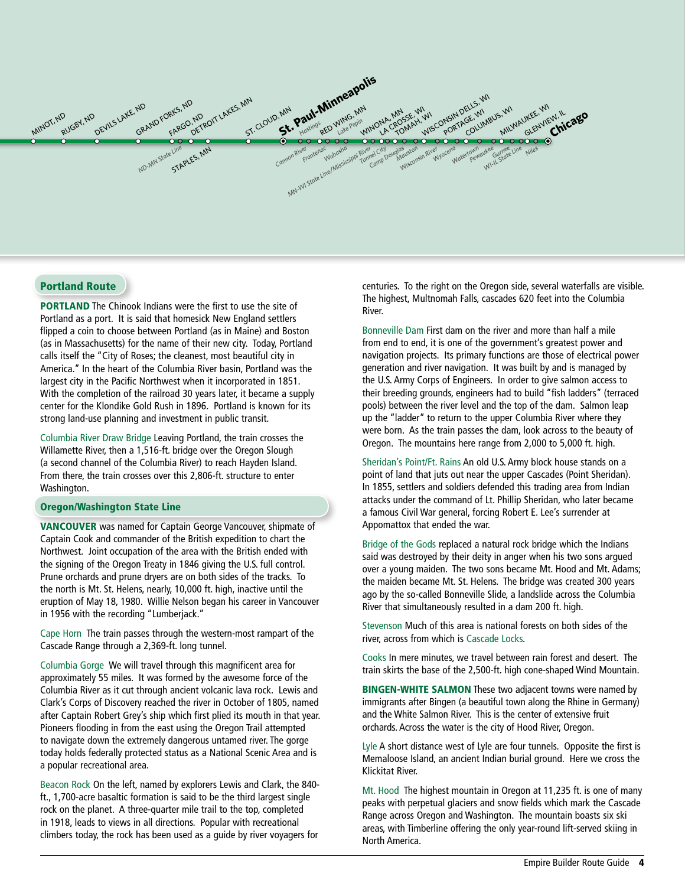

#### Portland Route

**PORTLAND** The Chinook Indians were the first to use the site of Portland as a port. It is said that homesick New England settlers flipped a coin to choose between Portland (as in Maine) and Boston (as in Massachusetts) for the name of their new city. Today, Portland calls itself the "City of Roses; the cleanest, most beautiful city in America." In the heart of the Columbia River basin, Portland was the largest city in the Pacific Northwest when it incorporated in 1851. With the completion of the railroad 30 years later, it became a supply center for the Klondike Gold Rush in 1896. Portland is known for its strong land-use planning and investment in public transit.

Columbia River Draw Bridge Leaving Portland, the train crosses the Willamette River, then a 1,516-ft. bridge over the Oregon Slough (a second channel of the Columbia River) to reach Hayden Island. From there, the train crosses over this 2,806-ft. structure to enter Washington.

#### Oregon/Washington State Line

VANCOUVER was named for Captain George Vancouver, shipmate of Captain Cook and commander of the British expedition to chart the Northwest. Joint occupation of the area with the British ended with the signing of the Oregon Treaty in 1846 giving the U.S. full control. Prune orchards and prune dryers are on both sides of the tracks. To the north is Mt. St. Helens, nearly, 10,000 ft. high, inactive until the eruption of May 18, 1980. Willie Nelson began his career in Vancouver in 1956 with the recording "Lumberjack."

Cape Horn The train passes through the western-most rampart of the Cascade Range through a 2,369-ft. long tunnel.

Columbia Gorge We will travel through this magnificent area for approximately 55 miles. It was formed by the awesome force of the Columbia River as it cut through ancient volcanic lava rock. Lewis and Clark's Corps of Discovery reached the river in October of 1805, named after Captain Robert Grey's ship which first plied its mouth in that year. Pioneers flooding in from the east using the Oregon Trail attempted to navigate down the extremely dangerous untamed river. The gorge today holds federally protected status as a National Scenic Area and is a popular recreational area.

Beacon Rock On the left, named by explorers Lewis and Clark, the 840 ft., 1,700-acre basaltic formation is said to be the third largest single rock on the planet. A three-quarter mile trail to the top, completed in 1918, leads to views in all directions. Popular with recreational climbers today, the rock has been used as a guide by river voyagers for

centuries. To the right on the Oregon side, several waterfalls are visible. The highest, Multnomah Falls, cascades 620 feet into the Columbia River.

Bonneville Dam First dam on the river and more than half a mile from end to end, it is one of the government's greatest power and navigation projects. Its primary functions are those of electrical power generation and river navigation. It was built by and is managed by the U.S. Army Corps of Engineers. In order to give salmon access to their breeding grounds, engineers had to build "fish ladders" (terraced pools) between the river level and the top of the dam. Salmon leap up the "ladder" to return to the upper Columbia River where they were born. As the train passes the dam, look across to the beauty of Oregon. The mountains here range from 2,000 to 5,000 ft. high.

Sheridan's Point/Ft. Rains An old U.S. Army block house stands on a point of land that juts out near the upper Cascades (Point Sheridan). In 1855, settlers and soldiers defended this trading area from Indian attacks under the command of Lt. Phillip Sheridan, who later became a famous Civil War general, forcing Robert E. Lee's surrender at Appomattox that ended the war.

Bridge of the Gods replaced a natural rock bridge which the Indians said was destroyed by their deity in anger when his two sons argued over a young maiden. The two sons became Mt. Hood and Mt. Adams; the maiden became Mt. St. Helens. The bridge was created 300 years ago by the so-called Bonneville Slide, a landslide across the Columbia River that simultaneously resulted in a dam 200 ft. high.

Stevenson Much of this area is national forests on both sides of the river, across from which is Cascade Locks.

Cooks In mere minutes, we travel between rain forest and desert. The train skirts the base of the 2,500-ft. high cone-shaped Wind Mountain.

**BINGEN-WHITE SALMON** These two adjacent towns were named by immigrants after Bingen (a beautiful town along the Rhine in Germany) and the White Salmon River. This is the center of extensive fruit orchards. Across the water is the city of Hood River, Oregon.

Lyle A short distance west of Lyle are four tunnels. Opposite the first is Memaloose Island, an ancient Indian burial ground. Here we cross the Klickitat River.

Mt. Hood The highest mountain in Oregon at 11,235 ft. is one of many peaks with perpetual glaciers and snow fields which mark the Cascade Range across Oregon and Washington. The mountain boasts six ski areas, with Timberline offering the only year-round lift-served skiing in North America.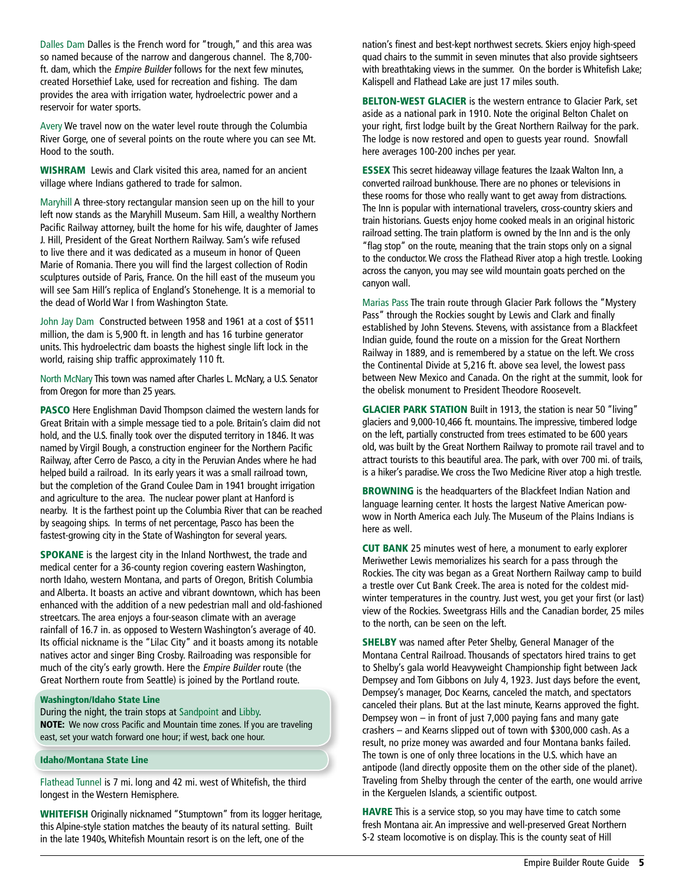Dalles Dam Dalles is the French word for "trough," and this area was so named because of the narrow and dangerous channel. The 8,700 ft. dam, which the Empire Builder follows for the next few minutes, created Horsethief Lake, used for recreation and fishing. The dam provides the area with irrigation water, hydroelectric power and a reservoir for water sports.

Avery We travel now on the water level route through the Columbia River Gorge, one of several points on the route where you can see Mt. Hood to the south.

WISHRAM Lewis and Clark visited this area, named for an ancient village where Indians gathered to trade for salmon.

Maryhill A three-story rectangular mansion seen up on the hill to your left now stands as the Maryhill Museum. Sam Hill, a wealthy Northern Pacific Railway attorney, built the home for his wife, daughter of James J. Hill, President of the Great Northern Railway. Sam's wife refused to live there and it was dedicated as a museum in honor of Queen Marie of Romania. There you will find the largest collection of Rodin sculptures outside of Paris, France. On the hill east of the museum you will see Sam Hill's replica of England's Stonehenge. It is a memorial to the dead of World War I from Washington State.

John Jay Dam Constructed between 1958 and 1961 at a cost of \$511 million, the dam is 5,900 ft. in length and has 16 turbine generator units. This hydroelectric dam boasts the highest single lift lock in the world, raising ship traffic approximately 110 ft.

North McNary This town was named after Charles L. McNary, a U.S. Senator from Oregon for more than 25 years.

PASCO Here Englishman David Thompson claimed the western lands for Great Britain with a simple message tied to a pole. Britain's claim did not hold, and the U.S. finally took over the disputed territory in 1846. It was named by Virgil Bough, a construction engineer for the Northern Pacific Railway, after Cerro de Pasco, a city in the Peruvian Andes where he had helped build a railroad. In its early years it was a small railroad town, but the completion of the Grand Coulee Dam in 1941 brought irrigation and agriculture to the area. The nuclear power plant at Hanford is nearby. It is the farthest point up the Columbia River that can be reached by seagoing ships. In terms of net percentage, Pasco has been the fastest-growing city in the State of Washington for several years.

SPOKANE is the largest city in the Inland Northwest, the trade and medical center for a 36-county region covering eastern Washington, north Idaho, western Montana, and parts of Oregon, British Columbia and Alberta. It boasts an active and vibrant downtown, which has been enhanced with the addition of a new pedestrian mall and old-fashioned streetcars. The area enjoys a four-season climate with an average rainfall of 16.7 in. as opposed to Western Washington's average of 40. Its official nickname is the "Lilac City" and it boasts among its notable natives actor and singer Bing Crosby. Railroading was responsible for much of the city's early growth. Here the Empire Builder route (the Great Northern route from Seattle) is joined by the Portland route.

#### Washington/Idaho State Line

During the night, the train stops at Sandpoint and Libby. NOTE: We now cross Pacific and Mountain time zones. If you are traveling east, set your watch forward one hour; if west, back one hour.

#### Idaho/Montana State Line

Flathead Tunnel is 7 mi. long and 42 mi. west of Whitefish, the third longest in the Western Hemisphere.

WHITEFISH Originally nicknamed "Stumptown" from its logger heritage, this Alpine-style station matches the beauty of its natural setting. Built in the late 1940s, Whitefish Mountain resort is on the left, one of the

nation's finest and best-kept northwest secrets. Skiers enjoy high-speed quad chairs to the summit in seven minutes that also provide sightseers with breathtaking views in the summer. On the border is Whitefish Lake; Kalispell and Flathead Lake are just 17 miles south.

**BELTON-WEST GLACIER** is the western entrance to Glacier Park, set aside as a national park in 1910. Note the original Belton Chalet on your right, first lodge built by the Great Northern Railway for the park. The lodge is now restored and open to guests year round. Snowfall here averages 100-200 inches per year.

ESSEX This secret hideaway village features the Izaak Walton Inn, a converted railroad bunkhouse. There are no phones or televisions in these rooms for those who really want to get away from distractions. The Inn is popular with international travelers, cross-country skiers and train historians. Guests enjoy home cooked meals in an original historic railroad setting. The train platform is owned by the Inn and is the only "flag stop" on the route, meaning that the train stops only on a signal to the conductor. We cross the Flathead River atop a high trestle. Looking across the canyon, you may see wild mountain goats perched on the canyon wall.

Marias Pass The train route through Glacier Park follows the "Mystery Pass" through the Rockies sought by Lewis and Clark and finally established by John Stevens. Stevens, with assistance from a Blackfeet Indian guide, found the route on a mission for the Great Northern Railway in 1889, and is remembered by a statue on the left. We cross the Continental Divide at 5,216 ft. above sea level, the lowest pass between New Mexico and Canada. On the right at the summit, look for the obelisk monument to President Theodore Roosevelt.

GLACIER PARK STATION Built in 1913, the station is near 50 "living" glaciers and 9,000-10,466 ft. mountains. The impressive, timbered lodge on the left, partially constructed from trees estimated to be 600 years old, was built by the Great Northern Railway to promote rail travel and to attract tourists to this beautiful area. The park, with over 700 mi. of trails, is a hiker's paradise. We cross the Two Medicine River atop a high trestle.

**BROWNING** is the headquarters of the Blackfeet Indian Nation and language learning center. It hosts the largest Native American powwow in North America each July. The Museum of the Plains Indians is here as well.

CUT BANK 25 minutes west of here, a monument to early explorer Meriwether Lewis memorializes his search for a pass through the Rockies. The city was began as a Great Northern Railway camp to build a trestle over Cut Bank Creek. The area is noted for the coldest midwinter temperatures in the country. Just west, you get your first (or last) view of the Rockies. Sweetgrass Hills and the Canadian border, 25 miles to the north, can be seen on the left.

**SHELBY** was named after Peter Shelby, General Manager of the Montana Central Railroad. Thousands of spectators hired trains to get to Shelby's gala world Heavyweight Championship fight between Jack Dempsey and Tom Gibbons on July 4, 1923. Just days before the event, Dempsey's manager, Doc Kearns, canceled the match, and spectators canceled their plans. But at the last minute, Kearns approved the fight. Dempsey won – in front of just 7,000 paying fans and many gate crashers – and Kearns slipped out of town with \$300,000 cash. As a result, no prize money was awarded and four Montana banks failed. The town is one of only three locations in the U.S. which have an antipode (land directly opposite them on the other side of the planet). Traveling from Shelby through the center of the earth, one would arrive in the Kerguelen Islands, a scientific outpost.

HAVRE This is a service stop, so you may have time to catch some fresh Montana air. An impressive and well-preserved Great Northern S-2 steam locomotive is on display. This is the county seat of Hill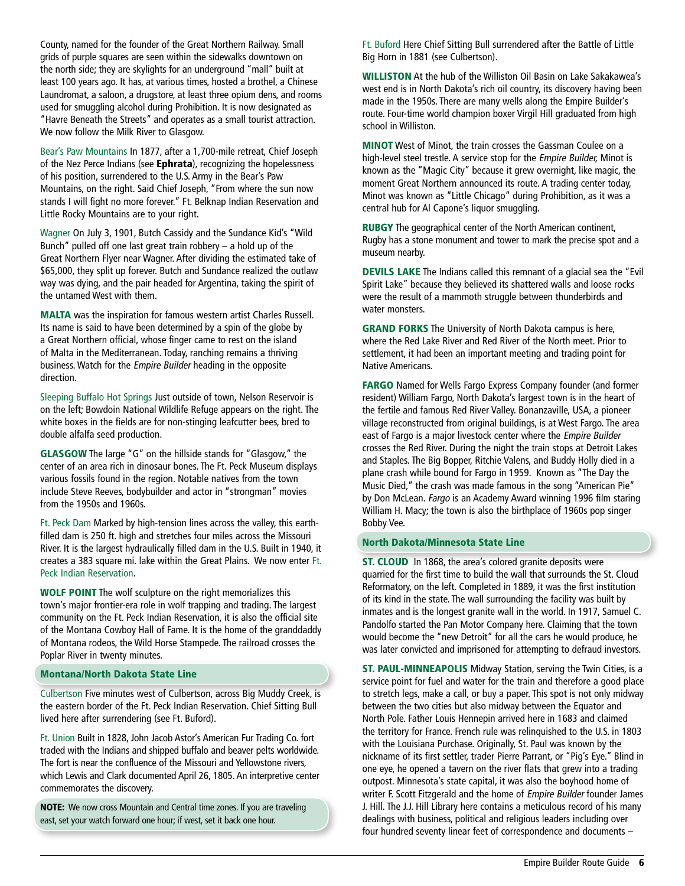County, named for the founder of the Great Northern Railway. Small grids of purple squares are seen within the sidewalks downtown on the north side; they are skylights for an underground "mall" built at least 100 years ago. It has, at various times, hosted a brothel, a Chinese Laundromat, a saloon, a drugstore, at least three opium dens, and rooms used for smuggling alcohol during Prohibition. It is now designated as "Havre Beneath the Streets" and operates as a small tourist attraction. We now follow the Milk River to Glasgow.

Bear's Paw Mountains In 1877, after a 1,700-mile retreat, Chief Joseph of the Nez Perce Indians (see Ephrata), recognizing the hopelessness of his position, surrendered to the U.S. Army in the Bear's Paw Mountains, on the right. Said Chief Joseph, "From where the sun now stands I will fight no more forever." Ft. Belknap Indian Reservation and Little Rocky Mountains are to your right.

Wagner On July 3, 1901, Butch Cassidy and the Sundance Kid's "Wild Bunch" pulled off one last great train robbery – a hold up of the Great Northern Flyer near Wagner. After dividing the estimated take of \$65,000, they split up forever. Butch and Sundance realized the outlaw way was dying, and the pair headed for Argentina, taking the spirit of the untamed West with them.

MALTA was the inspiration for famous western artist Charles Russell. Its name is said to have been determined by a spin of the globe by a Great Northern official, whose finger came to rest on the island of Malta in the Mediterranean. Today, ranching remains a thriving business. Watch for the Empire Builder heading in the opposite direction.

Sleeping Buffalo Hot Springs Just outside of town, Nelson Reservoir is on the left; Bowdoin National Wildlife Refuge appears on the right. The white boxes in the fields are for non-stinging leafcutter bees, bred to double alfalfa seed production.

GLASGOW The large "G" on the hillside stands for "Glasgow," the center of an area rich in dinosaur bones. The Ft. Peck Museum displays various fossils found in the region. Notable natives from the town include Steve Reeves, bodybuilder and actor in "strongman" movies from the 1950s and 1960s.

Ft. Peck Dam Marked by high-tension lines across the valley, this earthfilled dam is 250 ft. high and stretches four miles across the Missouri River. It is the largest hydraulically filled dam in the U.S. Built in 1940, it creates a 383 square mi. lake within the Great Plains. We now enter Ft. Peck Indian Reservation.

WOLF POINT The wolf sculpture on the right memorializes this town's major frontier-era role in wolf trapping and trading. The largest community on the Ft. Peck Indian Reservation, it is also the official site of the Montana Cowboy Hall of Fame. It is the home of the granddaddy of Montana rodeos, the Wild Horse Stampede. The railroad crosses the Poplar River in twenty minutes.

#### Montana/North Dakota State Line

Culbertson Five minutes west of Culbertson, across Big Muddy Creek, is the eastern border of the Ft. Peck Indian Reservation. Chief Sitting Bull lived here after surrendering (see Ft. Buford).

Ft. Union Built in 1828, John Jacob Astor's American Fur Trading Co. fort traded with the Indians and shipped buffalo and beaver pelts worldwide. The fort is near the confluence of the Missouri and Yellowstone rivers, which Lewis and Clark documented April 26, 1805. An interpretive center commemorates the discovery.

NOTE: We now cross Mountain and Central time zones. If you are traveling east, set your watch forward one hour; if west, set it back one hour.

Ft. Buford Here Chief Sitting Bull surrendered after the Battle of Little Big Horn in 1881 (see Culbertson).

WILLISTON At the hub of the Williston Oil Basin on Lake Sakakawea's west end is in North Dakota's rich oil country, its discovery having been made in the 1950s. There are many wells along the Empire Builder's route. Four-time world champion boxer Virgil Hill graduated from high school in Williston.

MINOT West of Minot, the train crosses the Gassman Coulee on a high-level steel trestle. A service stop for the Empire Builder, Minot is known as the "Magic City" because it grew overnight, like magic, the moment Great Northern announced its route. A trading center today, Minot was known as "Little Chicago" during Prohibition, as it was a central hub for Al Capone's liquor smuggling.

RUBGY The geographical center of the North American continent, Rugby has a stone monument and tower to mark the precise spot and a museum nearby.

DEVILS LAKE The Indians called this remnant of a glacial sea the "Evil Spirit Lake" because they believed its shattered walls and loose rocks were the result of a mammoth struggle between thunderbirds and water monsters.

GRAND FORKS The University of North Dakota campus is here, where the Red Lake River and Red River of the North meet. Prior to settlement, it had been an important meeting and trading point for Native Americans.

FARGO Named for Wells Fargo Express Company founder (and former resident) William Fargo, North Dakota's largest town is in the heart of the fertile and famous Red River Valley. Bonanzaville, USA, a pioneer village reconstructed from original buildings, is at West Fargo. The area east of Fargo is a major livestock center where the Empire Builder crosses the Red River. During the night the train stops at Detroit Lakes and Staples. The Big Bopper, Ritchie Valens, and Buddy Holly died in a plane crash while bound for Fargo in 1959. Known as "The Day the Music Died," the crash was made famous in the song "American Pie" by Don McLean. Fargo is an Academy Award winning 1996 film staring William H. Macy; the town is also the birthplace of 1960s pop singer Bobby Vee.

#### North Dakota/Minnesota State Line

**ST. CLOUD** In 1868, the area's colored granite deposits were quarried for the first time to build the wall that surrounds the St. Cloud Reformatory, on the left. Completed in 1889, it was the first institution of its kind in the state. The wall surrounding the facility was built by inmates and is the longest granite wall in the world. In 1917, Samuel C. Pandolfo started the Pan Motor Company here. Claiming that the town would become the "new Detroit" for all the cars he would produce, he was later convicted and imprisoned for attempting to defraud investors.

ST. PAUL-MINNEAPOLIS Midway Station, serving the Twin Cities, is a service point for fuel and water for the train and therefore a good place to stretch legs, make a call, or buy a paper. This spot is not only midway between the two cities but also midway between the Equator and North Pole. Father Louis Hennepin arrived here in 1683 and claimed the territory for France. French rule was relinquished to the U.S. in 1803 with the Louisiana Purchase. Originally, St. Paul was known by the nickname of its first settler, trader Pierre Parrant, or "Pig's Eye." Blind in one eye, he opened a tavern on the river flats that grew into a trading outpost. Minnesota's state capital, it was also the boyhood home of writer F. Scott Fitzgerald and the home of Empire Builder founder James J. Hill. The J.J. Hill Library here contains a meticulous record of his many dealings with business, political and religious leaders including over four hundred seventy linear feet of correspondence and documents –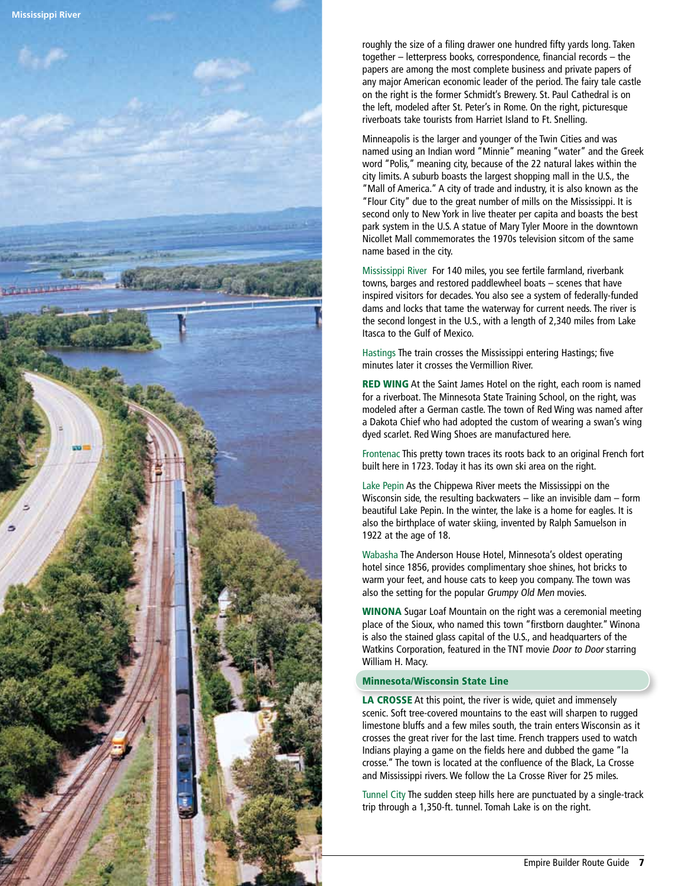

roughly the size of a filing drawer one hundred fifty yards long. Taken together – letterpress books, correspondence, financial records – the papers are among the most complete business and private papers of any major American economic leader of the period. The fairy tale castle on the right is the former Schmidt's Brewery. St. Paul Cathedral is on the left, modeled after St. Peter's in Rome. On the right, picturesque riverboats take tourists from Harriet Island to Ft. Snelling.

Minneapolis is the larger and younger of the Twin Cities and was named using an Indian word "Minnie" meaning "water" and the Greek word "Polis," meaning city, because of the 22 natural lakes within the city limits. A suburb boasts the largest shopping mall in the U.S., the "Mall of America." A city of trade and industry, it is also known as the "Flour City" due to the great number of mills on the Mississippi. It is second only to New York in live theater per capita and boasts the best park system in the U.S. A statue of Mary Tyler Moore in the downtown Nicollet Mall commemorates the 1970s television sitcom of the same name based in the city.

Mississippi River For 140 miles, you see fertile farmland, riverbank towns, barges and restored paddlewheel boats – scenes that have inspired visitors for decades. You also see a system of federally-funded dams and locks that tame the waterway for current needs. The river is the second longest in the U.S., with a length of 2,340 miles from Lake Itasca to the Gulf of Mexico.

Hastings The train crosses the Mississippi entering Hastings; five minutes later it crosses the Vermillion River.

**RED WING** At the Saint James Hotel on the right, each room is named for a riverboat. The Minnesota State Training School, on the right, was modeled after a German castle. The town of Red Wing was named after a Dakota Chief who had adopted the custom of wearing a swan's wing dyed scarlet. Red Wing Shoes are manufactured here.

Frontenac This pretty town traces its roots back to an original French fort built here in 1723. Today it has its own ski area on the right.

Lake Pepin As the Chippewa River meets the Mississippi on the Wisconsin side, the resulting backwaters – like an invisible dam – form beautiful Lake Pepin. In the winter, the lake is a home for eagles. It is also the birthplace of water skiing, invented by Ralph Samuelson in 1922 at the age of 18.

Wabasha The Anderson House Hotel, Minnesota's oldest operating hotel since 1856, provides complimentary shoe shines, hot bricks to warm your feet, and house cats to keep you company. The town was also the setting for the popular Grumpy Old Men movies.

WINONA Sugar Loaf Mountain on the right was a ceremonial meeting place of the Sioux, who named this town "firstborn daughter." Winona is also the stained glass capital of the U.S., and headquarters of the Watkins Corporation, featured in the TNT movie Door to Door starring William H. Macy.

#### Minnesota/ Wisconsin State Line

LA CROSSE At this point, the river is wide, quiet and immensely scenic. Soft tree-covered mountains to the east will sharpen to rugged limestone bluffs and a few miles south, the train enters Wisconsin as it crosses the great river for the last time. French trappers used to watch Indians playing a game on the fields here and dubbed the game "la crosse." The town is located at the confluence of the Black, La Crosse and Mississippi rivers. We follow the La Crosse River for 25 miles.

Tunnel City The sudden steep hills here are punctuated by a single-track trip through a 1,350-ft. tunnel. Tomah Lake is on the right.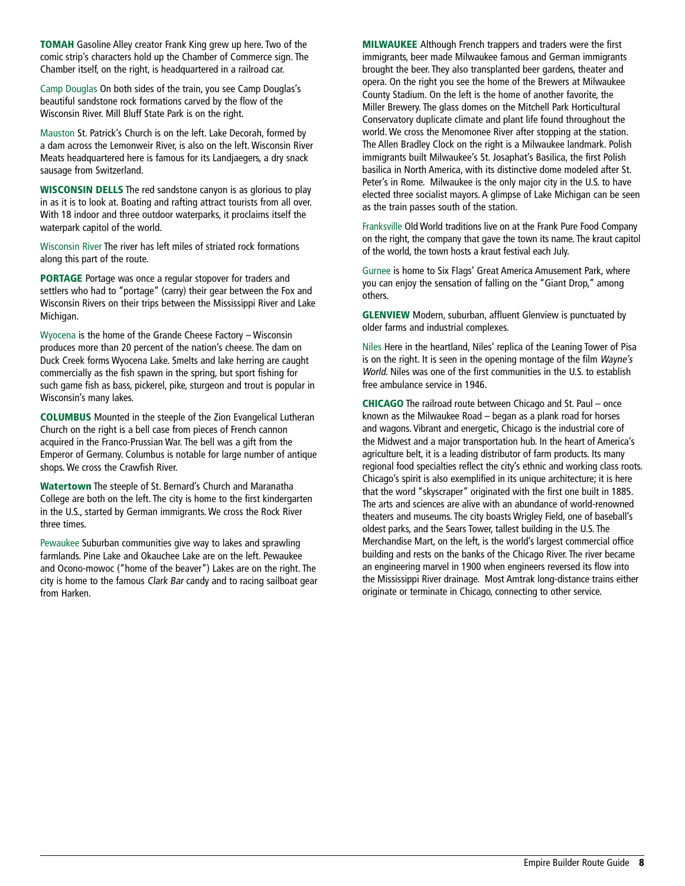TOMAH Gasoline Alley creator Frank King grew up here. Two of the comic strip's characters hold up the Chamber of Commerce sign. The Chamber itself, on the right, is headquartered in a railroad car.

Camp Douglas On both sides of the train, you see Camp Douglas's beautiful sandstone rock formations carved by the flow of the Wisconsin River. Mill Bluff State Park is on the right.

Mauston St. Patrick's Church is on the left. Lake Decorah, formed by a dam across the Lemonweir River, is also on the left. Wisconsin River Meats headquartered here is famous for its Landjaegers, a dry snack sausage from Switzerland.

WISCONSIN DELLS The red sandstone canyon is as glorious to play in as it is to look at. Boating and rafting attract tourists from all over. With 18 indoor and three outdoor waterparks, it proclaims itself the waterpark capitol of the world.

Wisconsin River The river has left miles of striated rock formations along this part of the route.

PORTAGE Portage was once a regular stopover for traders and settlers who had to "portage" (carry) their gear between the Fox and Wisconsin Rivers on their trips between the Mississippi River and Lake Michigan.

Wyocena is the home of the Grande Cheese Factory – Wisconsin produces more than 20 percent of the nation's cheese. The dam on Duck Creek forms Wyocena Lake. Smelts and lake herring are caught commercially as the fish spawn in the spring, but sport fishing for such game fish as bass, pickerel, pike, sturgeon and trout is popular in Wisconsin's many lakes.

COLUMBUS Mounted in the steeple of the Zion Evangelical Lutheran Church on the right is a bell case from pieces of French cannon acquired in the Franco-Prussian War. The bell was a gift from the Emperor of Germany. Columbus is notable for large number of antique shops. We cross the Crawfish River.

Watertown The steeple of St. Bernard's Church and Maranatha College are both on the left. The city is home to the first kindergarten in the U.S., started by German immigrants. We cross the Rock River three times.

Pewaukee Suburban communities give way to lakes and sprawling farmlands. Pine Lake and Okauchee Lake are on the left. Pewaukee and Ocono-mowoc ("home of the beaver") Lakes are on the right. The city is home to the famous Clark Bar candy and to racing sailboat gear from Harken.

MILWAUKEE Although French trappers and traders were the first immigrants, beer made Milwaukee famous and German immigrants brought the beer. They also transplanted beer gardens, theater and opera. On the right you see the home of the Brewers at Milwaukee County Stadium. On the left is the home of another favorite, the Miller Brewery. The glass domes on the Mitchell Park Horticultural Conservatory duplicate climate and plant life found throughout the world. We cross the Menomonee River after stopping at the station. The Allen Bradley Clock on the right is a Milwaukee landmark. Polish immigrants built Milwaukee's St. Josaphat's Basilica, the first Polish basilica in North America, with its distinctive dome modeled after St. Peter's in Rome. Milwaukee is the only major city in the U.S. to have elected three socialist mayors. A glimpse of Lake Michigan can be seen as the train passes south of the station.

Franksville Old World traditions live on at the Frank Pure Food Company on the right, the company that gave the town its name. The kraut capitol of the world, the town hosts a kraut festival each July.

Gurnee is home to Six Flags' Great America Amusement Park, where you can enjoy the sensation of falling on the "Giant Drop," among others.

GLENVIEW Modern, suburban, affluent Glenview is punctuated by older farms and industrial complexes.

Niles Here in the heartland, Niles' replica of the Leaning Tower of Pisa is on the right. It is seen in the opening montage of the film Wayne's World. Niles was one of the first communities in the U.S. to establish free ambulance service in 1946.

CHICAGO The railroad route between Chicago and St. Paul – once known as the Milwaukee Road – began as a plank road for horses and wagons. Vibrant and energetic, Chicago is the industrial core of the Midwest and a major transportation hub. In the heart of America's agriculture belt, it is a leading distributor of farm products. Its many regional food specialties reflect the city's ethnic and working class roots. Chicago's spirit is also exemplified in its unique architecture; it is here that the word "skyscraper" originated with the first one built in 1885. The arts and sciences are alive with an abundance of world-renowned theaters and museums. The city boasts Wrigley Field, one of baseball's oldest parks, and the Sears Tower, tallest building in the U.S. The Merchandise Mart, on the left, is the world's largest commercial office building and rests on the banks of the Chicago River. The river became an engineering marvel in 1900 when engineers reversed its flow into the Mississippi River drainage. Most Amtrak long-distance trains either originate or terminate in Chicago, connecting to other service.